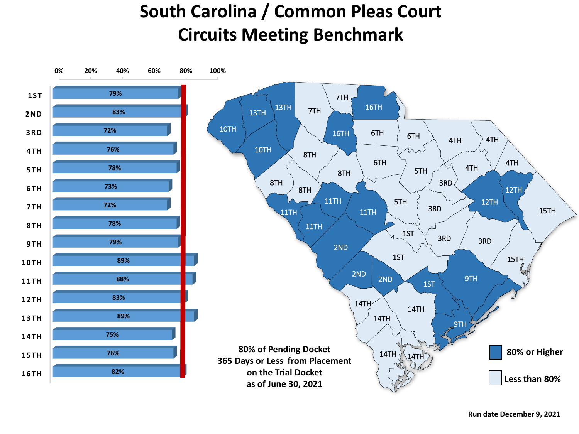## **South Carolina / Common Pleas Court Circuits Meeting Benchmark**